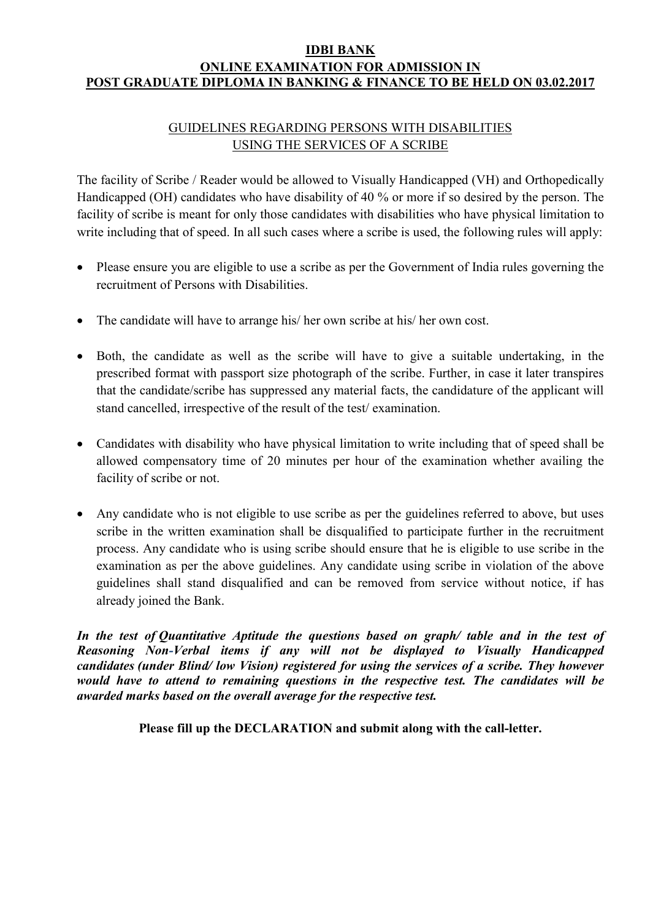#### IDBI BANK ONLINE EXAMINATION FOR ADMISSION IN POST GRADUATE DIPLOMA IN BANKING & FINANCE TO BE HELD ON 03.02.2017

# GUIDELINES REGARDING PERSONS WITH DISABILITIES USING THE SERVICES OF A SCRIBE

The facility of Scribe / Reader would be allowed to Visually Handicapped (VH) and Orthopedically Handicapped (OH) candidates who have disability of 40 % or more if so desired by the person. The facility of scribe is meant for only those candidates with disabilities who have physical limitation to write including that of speed. In all such cases where a scribe is used, the following rules will apply:

- Please ensure you are eligible to use a scribe as per the Government of India rules governing the recruitment of Persons with Disabilities.
- The candidate will have to arrange his/ her own scribe at his/ her own cost.
- Both, the candidate as well as the scribe will have to give a suitable undertaking, in the prescribed format with passport size photograph of the scribe. Further, in case it later transpires that the candidate/scribe has suppressed any material facts, the candidature of the applicant will stand cancelled, irrespective of the result of the test/ examination.
- Candidates with disability who have physical limitation to write including that of speed shall be allowed compensatory time of 20 minutes per hour of the examination whether availing the facility of scribe or not.
- Any candidate who is not eligible to use scribe as per the guidelines referred to above, but uses scribe in the written examination shall be disqualified to participate further in the recruitment process. Any candidate who is using scribe should ensure that he is eligible to use scribe in the examination as per the above guidelines. Any candidate using scribe in violation of the above guidelines shall stand disqualified and can be removed from service without notice, if has already joined the Bank.

In the test of Quantitative Aptitude the questions based on graph/ table and in the test of Reasoning Non-Verbal items if any will not be displayed to Visually Handicapped candidates (under Blind/ low Vision) registered for using the services of a scribe. They however would have to attend to remaining questions in the respective test. The candidates will be awarded marks based on the overall average for the respective test.

Please fill up the DECLARATION and submit along with the call-letter.